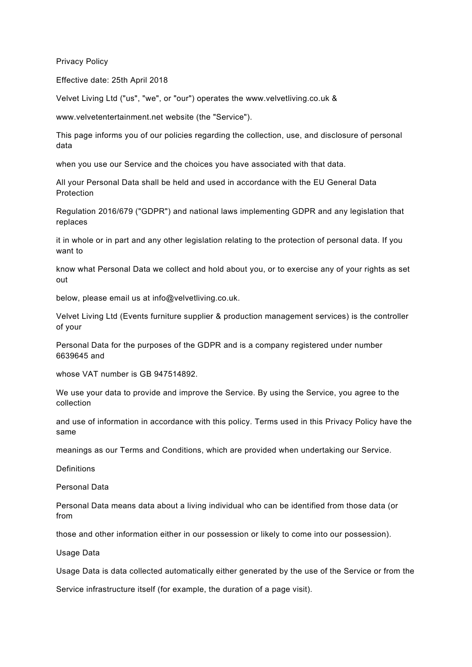Privacy Policy

Effective date: 25th April 2018

Velvet Living Ltd ("us", "we", or "our") operates the www.velvetliving.co.uk &

www.velvetentertainment.net website (the "Service").

This page informs you of our policies regarding the collection, use, and disclosure of personal data

when you use our Service and the choices you have associated with that data.

All your Personal Data shall be held and used in accordance with the EU General Data **Protection** 

Regulation 2016/679 ("GDPR") and national laws implementing GDPR and any legislation that replaces

it in whole or in part and any other legislation relating to the protection of personal data. If you want to

know what Personal Data we collect and hold about you, or to exercise any of your rights as set out

below, please email us at info@velvetliving.co.uk.

Velvet Living Ltd (Events furniture supplier & production management services) is the controller of your

Personal Data for the purposes of the GDPR and is a company registered under number 6639645 and

whose VAT number is GB 947514892.

We use your data to provide and improve the Service. By using the Service, you agree to the collection

and use of information in accordance with this policy. Terms used in this Privacy Policy have the same

meanings as our Terms and Conditions, which are provided when undertaking our Service.

**Definitions** 

Personal Data

Personal Data means data about a living individual who can be identified from those data (or from

those and other information either in our possession or likely to come into our possession).

Usage Data

Usage Data is data collected automatically either generated by the use of the Service or from the

Service infrastructure itself (for example, the duration of a page visit).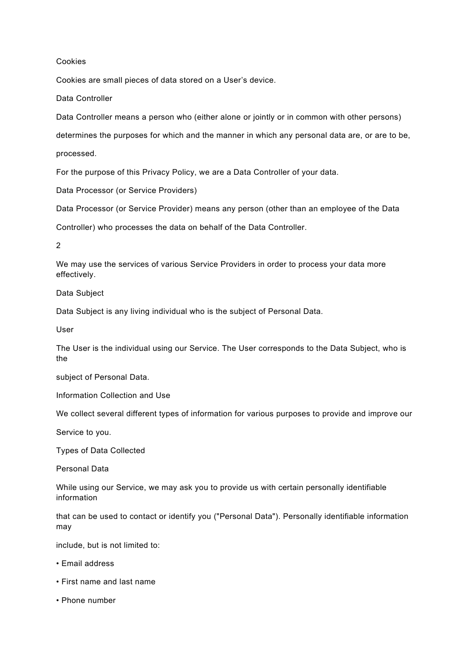## Cookies

Cookies are small pieces of data stored on a User's device.

Data Controller

Data Controller means a person who (either alone or jointly or in common with other persons)

determines the purposes for which and the manner in which any personal data are, or are to be,

processed.

For the purpose of this Privacy Policy, we are a Data Controller of your data.

Data Processor (or Service Providers)

Data Processor (or Service Provider) means any person (other than an employee of the Data

Controller) who processes the data on behalf of the Data Controller.

2

We may use the services of various Service Providers in order to process your data more effectively.

Data Subject

Data Subject is any living individual who is the subject of Personal Data.

User

The User is the individual using our Service. The User corresponds to the Data Subject, who is the

subject of Personal Data.

Information Collection and Use

We collect several different types of information for various purposes to provide and improve our

Service to you.

Types of Data Collected

Personal Data

While using our Service, we may ask you to provide us with certain personally identifiable information

that can be used to contact or identify you ("Personal Data"). Personally identifiable information may

include, but is not limited to:

- Email address
- First name and last name
- Phone number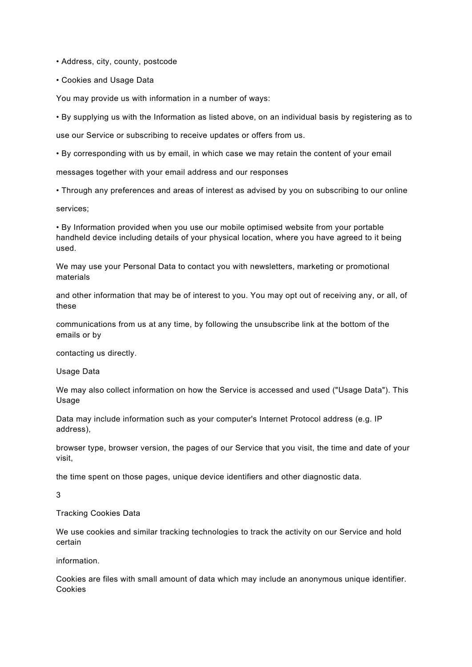• Address, city, county, postcode

• Cookies and Usage Data

You may provide us with information in a number of ways:

• By supplying us with the Information as listed above, on an individual basis by registering as to

use our Service or subscribing to receive updates or offers from us.

• By corresponding with us by email, in which case we may retain the content of your email

messages together with your email address and our responses

• Through any preferences and areas of interest as advised by you on subscribing to our online

services;

• By Information provided when you use our mobile optimised website from your portable handheld device including details of your physical location, where you have agreed to it being used.

We may use your Personal Data to contact you with newsletters, marketing or promotional materials

and other information that may be of interest to you. You may opt out of receiving any, or all, of these

communications from us at any time, by following the unsubscribe link at the bottom of the emails or by

contacting us directly.

Usage Data

We may also collect information on how the Service is accessed and used ("Usage Data"). This Usage

Data may include information such as your computer's Internet Protocol address (e.g. IP address),

browser type, browser version, the pages of our Service that you visit, the time and date of your visit,

the time spent on those pages, unique device identifiers and other diagnostic data.

3

Tracking Cookies Data

We use cookies and similar tracking technologies to track the activity on our Service and hold certain

information.

Cookies are files with small amount of data which may include an anonymous unique identifier. Cookies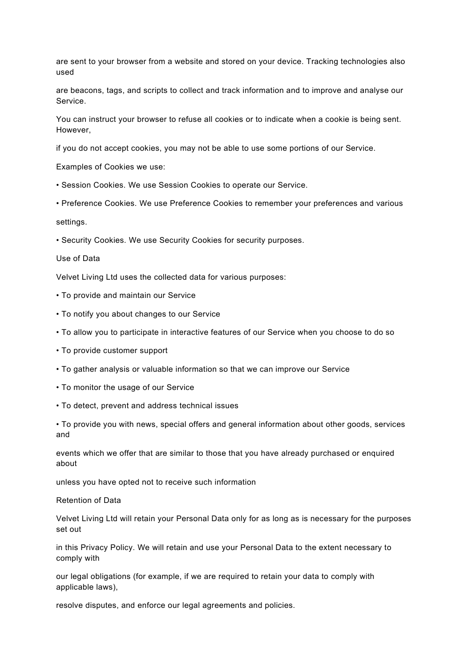are sent to your browser from a website and stored on your device. Tracking technologies also used

are beacons, tags, and scripts to collect and track information and to improve and analyse our Service.

You can instruct your browser to refuse all cookies or to indicate when a cookie is being sent. However,

if you do not accept cookies, you may not be able to use some portions of our Service.

Examples of Cookies we use:

- Session Cookies. We use Session Cookies to operate our Service.
- Preference Cookies. We use Preference Cookies to remember your preferences and various

settings.

• Security Cookies. We use Security Cookies for security purposes.

## Use of Data

Velvet Living Ltd uses the collected data for various purposes:

- To provide and maintain our Service
- To notify you about changes to our Service
- To allow you to participate in interactive features of our Service when you choose to do so
- To provide customer support
- To gather analysis or valuable information so that we can improve our Service
- To monitor the usage of our Service
- To detect, prevent and address technical issues

• To provide you with news, special offers and general information about other goods, services and

events which we offer that are similar to those that you have already purchased or enquired about

unless you have opted not to receive such information

Retention of Data

Velvet Living Ltd will retain your Personal Data only for as long as is necessary for the purposes set out

in this Privacy Policy. We will retain and use your Personal Data to the extent necessary to comply with

our legal obligations (for example, if we are required to retain your data to comply with applicable laws),

resolve disputes, and enforce our legal agreements and policies.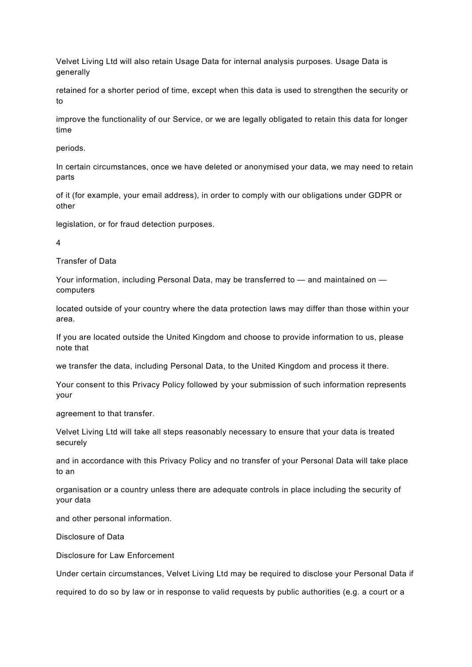Velvet Living Ltd will also retain Usage Data for internal analysis purposes. Usage Data is generally

retained for a shorter period of time, except when this data is used to strengthen the security or to

improve the functionality of our Service, or we are legally obligated to retain this data for longer time

periods.

In certain circumstances, once we have deleted or anonymised your data, we may need to retain parts

of it (for example, your email address), in order to comply with our obligations under GDPR or other

legislation, or for fraud detection purposes.

4

Transfer of Data

Your information, including Personal Data, may be transferred to — and maintained on computers

located outside of your country where the data protection laws may differ than those within your area.

If you are located outside the United Kingdom and choose to provide information to us, please note that

we transfer the data, including Personal Data, to the United Kingdom and process it there.

Your consent to this Privacy Policy followed by your submission of such information represents your

agreement to that transfer.

Velvet Living Ltd will take all steps reasonably necessary to ensure that your data is treated securely

and in accordance with this Privacy Policy and no transfer of your Personal Data will take place to an

organisation or a country unless there are adequate controls in place including the security of your data

and other personal information.

Disclosure of Data

Disclosure for Law Enforcement

Under certain circumstances, Velvet Living Ltd may be required to disclose your Personal Data if

required to do so by law or in response to valid requests by public authorities (e.g. a court or a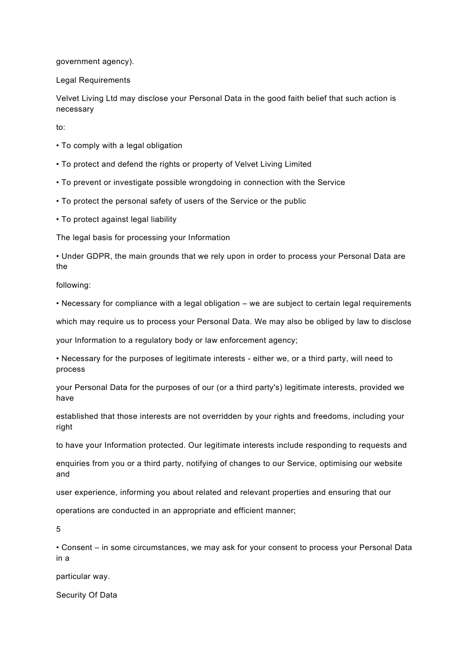government agency).

Legal Requirements

Velvet Living Ltd may disclose your Personal Data in the good faith belief that such action is necessary

to:

- To comply with a legal obligation
- To protect and defend the rights or property of Velvet Living Limited
- To prevent or investigate possible wrongdoing in connection with the Service
- To protect the personal safety of users of the Service or the public
- To protect against legal liability

The legal basis for processing your Information

• Under GDPR, the main grounds that we rely upon in order to process your Personal Data are the

following:

• Necessary for compliance with a legal obligation – we are subject to certain legal requirements

which may require us to process your Personal Data. We may also be obliged by law to disclose

your Information to a regulatory body or law enforcement agency;

• Necessary for the purposes of legitimate interests - either we, or a third party, will need to process

your Personal Data for the purposes of our (or a third party's) legitimate interests, provided we have

established that those interests are not overridden by your rights and freedoms, including your right

to have your Information protected. Our legitimate interests include responding to requests and

enquiries from you or a third party, notifying of changes to our Service, optimising our website and

user experience, informing you about related and relevant properties and ensuring that our

operations are conducted in an appropriate and efficient manner;

5

• Consent – in some circumstances, we may ask for your consent to process your Personal Data in a

particular way.

Security Of Data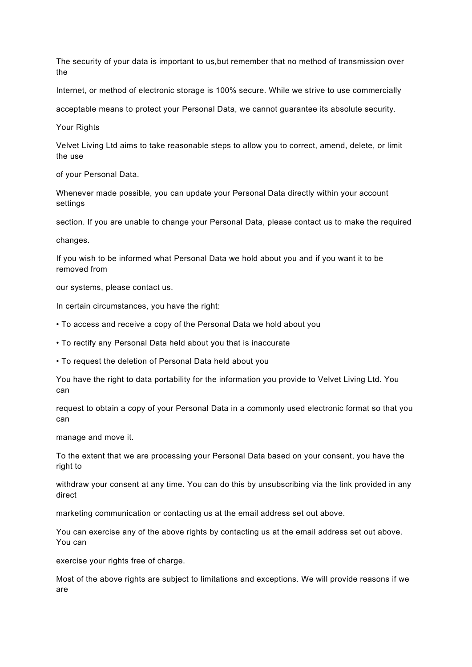The security of your data is important to us,but remember that no method of transmission over the

Internet, or method of electronic storage is 100% secure. While we strive to use commercially

acceptable means to protect your Personal Data, we cannot guarantee its absolute security.

Your Rights

Velvet Living Ltd aims to take reasonable steps to allow you to correct, amend, delete, or limit the use

of your Personal Data.

Whenever made possible, you can update your Personal Data directly within your account settings

section. If you are unable to change your Personal Data, please contact us to make the required

changes.

If you wish to be informed what Personal Data we hold about you and if you want it to be removed from

our systems, please contact us.

In certain circumstances, you have the right:

- To access and receive a copy of the Personal Data we hold about you
- To rectify any Personal Data held about you that is inaccurate
- To request the deletion of Personal Data held about you

You have the right to data portability for the information you provide to Velvet Living Ltd. You can

request to obtain a copy of your Personal Data in a commonly used electronic format so that you can

manage and move it.

To the extent that we are processing your Personal Data based on your consent, you have the right to

withdraw your consent at any time. You can do this by unsubscribing via the link provided in any direct

marketing communication or contacting us at the email address set out above.

You can exercise any of the above rights by contacting us at the email address set out above. You can

exercise your rights free of charge.

Most of the above rights are subject to limitations and exceptions. We will provide reasons if we are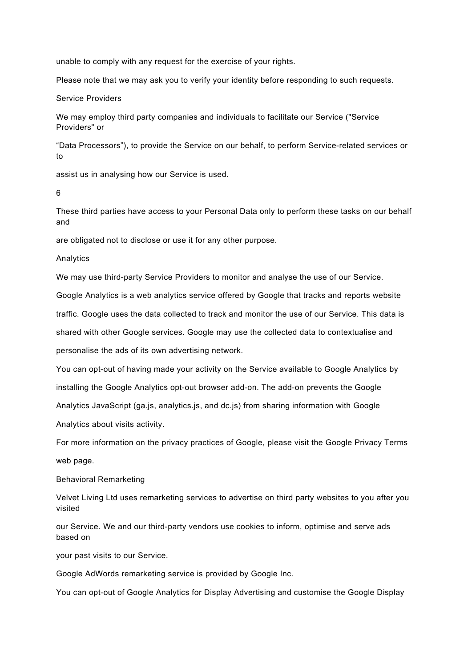unable to comply with any request for the exercise of your rights.

Please note that we may ask you to verify your identity before responding to such requests.

Service Providers

We may employ third party companies and individuals to facilitate our Service ("Service Providers" or

"Data Processors"), to provide the Service on our behalf, to perform Service-related services or to

assist us in analysing how our Service is used.

6

These third parties have access to your Personal Data only to perform these tasks on our behalf and

are obligated not to disclose or use it for any other purpose.

Analytics

We may use third-party Service Providers to monitor and analyse the use of our Service. Google Analytics is a web analytics service offered by Google that tracks and reports website traffic. Google uses the data collected to track and monitor the use of our Service. This data is shared with other Google services. Google may use the collected data to contextualise and personalise the ads of its own advertising network.

You can opt-out of having made your activity on the Service available to Google Analytics by installing the Google Analytics opt-out browser add-on. The add-on prevents the Google Analytics JavaScript (ga.js, analytics.js, and dc.js) from sharing information with Google Analytics about visits activity.

For more information on the privacy practices of Google, please visit the Google Privacy Terms web page.

Behavioral Remarketing

Velvet Living Ltd uses remarketing services to advertise on third party websites to you after you visited

our Service. We and our third-party vendors use cookies to inform, optimise and serve ads based on

your past visits to our Service.

Google AdWords remarketing service is provided by Google Inc.

You can opt-out of Google Analytics for Display Advertising and customise the Google Display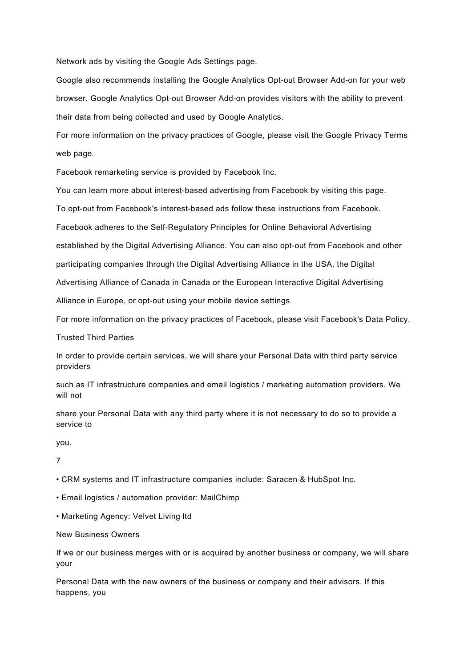Network ads by visiting the Google Ads Settings page.

Google also recommends installing the Google Analytics Opt-out Browser Add-on for your web browser. Google Analytics Opt-out Browser Add-on provides visitors with the ability to prevent their data from being collected and used by Google Analytics.

For more information on the privacy practices of Google, please visit the Google Privacy Terms web page.

Facebook remarketing service is provided by Facebook Inc.

You can learn more about interest-based advertising from Facebook by visiting this page.

To opt-out from Facebook's interest-based ads follow these instructions from Facebook.

Facebook adheres to the Self-Regulatory Principles for Online Behavioral Advertising

established by the Digital Advertising Alliance. You can also opt-out from Facebook and other

participating companies through the Digital Advertising Alliance in the USA, the Digital

Advertising Alliance of Canada in Canada or the European Interactive Digital Advertising

Alliance in Europe, or opt-out using your mobile device settings.

For more information on the privacy practices of Facebook, please visit Facebook's Data Policy.

Trusted Third Parties

In order to provide certain services, we will share your Personal Data with third party service providers

such as IT infrastructure companies and email logistics / marketing automation providers. We will not

share your Personal Data with any third party where it is not necessary to do so to provide a service to

you.

7

- CRM systems and IT infrastructure companies include: Saracen & HubSpot Inc.
- Email logistics / automation provider: MailChimp
- Marketing Agency: Velvet Living ltd
- New Business Owners

If we or our business merges with or is acquired by another business or company, we will share your

Personal Data with the new owners of the business or company and their advisors. If this happens, you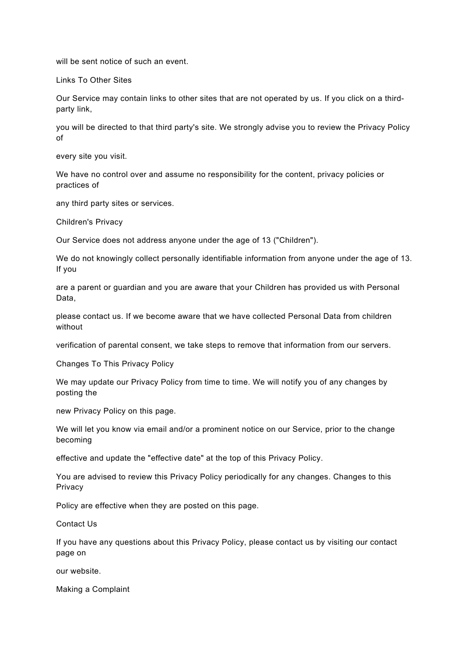will be sent notice of such an event.

Links To Other Sites

Our Service may contain links to other sites that are not operated by us. If you click on a thirdparty link,

you will be directed to that third party's site. We strongly advise you to review the Privacy Policy of

every site you visit.

We have no control over and assume no responsibility for the content, privacy policies or practices of

any third party sites or services.

Children's Privacy

Our Service does not address anyone under the age of 13 ("Children").

We do not knowingly collect personally identifiable information from anyone under the age of 13. If you

are a parent or guardian and you are aware that your Children has provided us with Personal Data,

please contact us. If we become aware that we have collected Personal Data from children without

verification of parental consent, we take steps to remove that information from our servers.

Changes To This Privacy Policy

We may update our Privacy Policy from time to time. We will notify you of any changes by posting the

new Privacy Policy on this page.

We will let you know via email and/or a prominent notice on our Service, prior to the change becoming

effective and update the "effective date" at the top of this Privacy Policy.

You are advised to review this Privacy Policy periodically for any changes. Changes to this Privacy

Policy are effective when they are posted on this page.

Contact Us

If you have any questions about this Privacy Policy, please contact us by visiting our contact page on

our website.

Making a Complaint